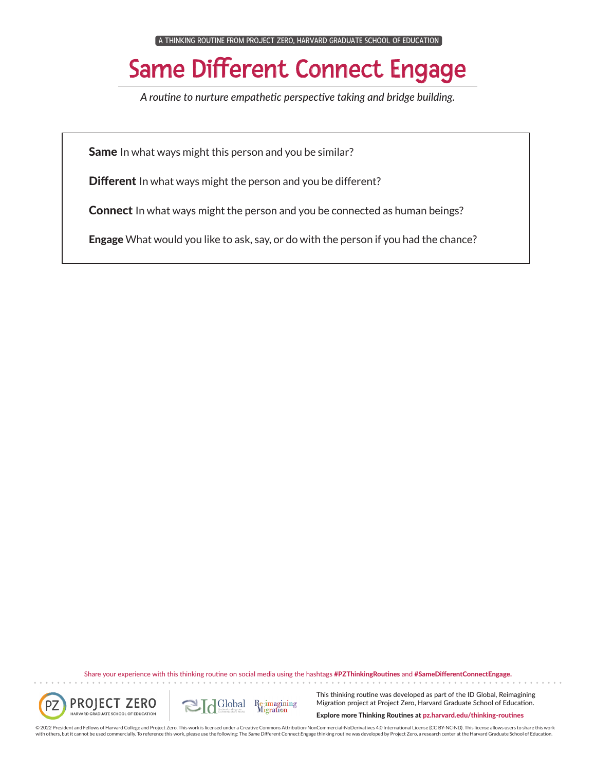A THINKING ROUTINE FROM PROJECT ZERO, HARVARD GRADUATE SCHOOL OF EDUCATION

## Same Different Connect Engage

*A routine to nurture empathetic perspective taking and bridge building.*

Same In what ways might this person and you be similar?

**Different** In what ways might the person and you be different?

**Connect** In what ways might the person and you be connected as human beings?

**Engage** What would you like to ask, say, or do with the person if you had the chance?

Share your experience with this thinking routine on social media using the hashtags #PZThinkingRoutines and #SameDifferentConnectEngage.



. . . . . . .



This thinking routine was developed as part of the ID Global, Reimagining Migration project at Project Zero, Harvard Graduate School of Education.

Explore more Thinking Routines at pz.harvard.edu/thinking-routines

© 2022 President and Fellows of Harvard College and Project Zero. This work is licensed under a Creative Commons Attribution-NonCommercial-NoDerivatives 4.0 International License (CC BY-NC-ND). This license allows users to with others, but it cannot be used commercially. To reference this work, please use the following: The Same Different Connect Engage thinking routine was developed by Project Zero, a research center at the Harvard Graduate